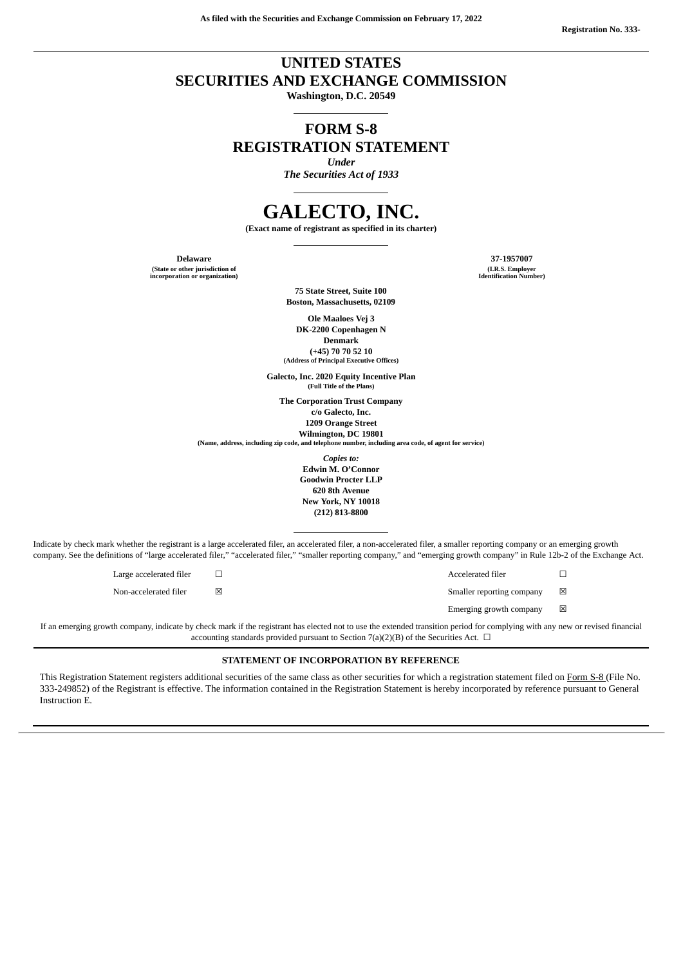## **UNITED STATES SECURITIES AND EXCHANGE COMMISSION**

**Washington, D.C. 20549**

# **FORM S-8 REGISTRATION STATEMENT**

*Under*

*The Securities Act of 1933*

# **GALECTO, INC.**

**(Exact name of registrant as specified in its charter)**

**(State or other jurisdiction of incorporation or organization)**

**Delaware 37-1957007 (I.R.S. Employer Identification Number)**

> **75 State Street, Suite 100 Boston, Massachusetts, 02109**

**Ole Maaloes Vej 3 DK-2200 Copenhagen N Denmark (+45) 70 70 52 10**

**(Address of Principal Executive Offices)**

**Galecto, Inc. 2020 Equity Incentive Plan (Full Title of the Plans)**

**The Corporation Trust Company c/o Galecto, Inc. 1209 Orange Street**

**Wilmington, DC 19801**<br>(Name, address, including zip code, and telephone number, inclu **(Name, address, including zip code, and telephone number, including area code, of agent for service)**

> *Copies to:* **Edwin M. O'Connor Goodwin Procter LLP 620 8th Avenue New York, NY 10018 (212) 813-8800**

Indicate by check mark whether the registrant is a large accelerated filer, an accelerated filer, a non-accelerated filer, a smaller reporting company or an emerging growth company. See the definitions of "large accelerated filer," "accelerated filer," "smaller reporting company," and "emerging growth company" in Rule 12b-2 of the Exchange Act.

Large accelerated filer ☐ Accelerated filer ☐

Non-accelerated filer ☒ Smaller reporting company ☒

Emerging growth company  $\hfill \boxtimes$ If an emerging growth company, indicate by check mark if the registrant has elected not to use the extended transition period for complying with any new or revised financial

accounting standards provided pursuant to Section 7(a)(2)(B) of the Securities Act.  $\Box$ 

#### **STATEMENT OF INCORPORATION BY REFERENCE**

This Registration Statement registers additional securities of the same class as other securities for which a registration statement filed on [Form](http://www.sec.gov/Archives/edgar/data/0001800315/000119312520285647/d54610ds8.htm) S-8 (File No. 333-249852) of the Registrant is effective. The information contained in the Registration Statement is hereby incorporated by reference pursuant to General Instruction E.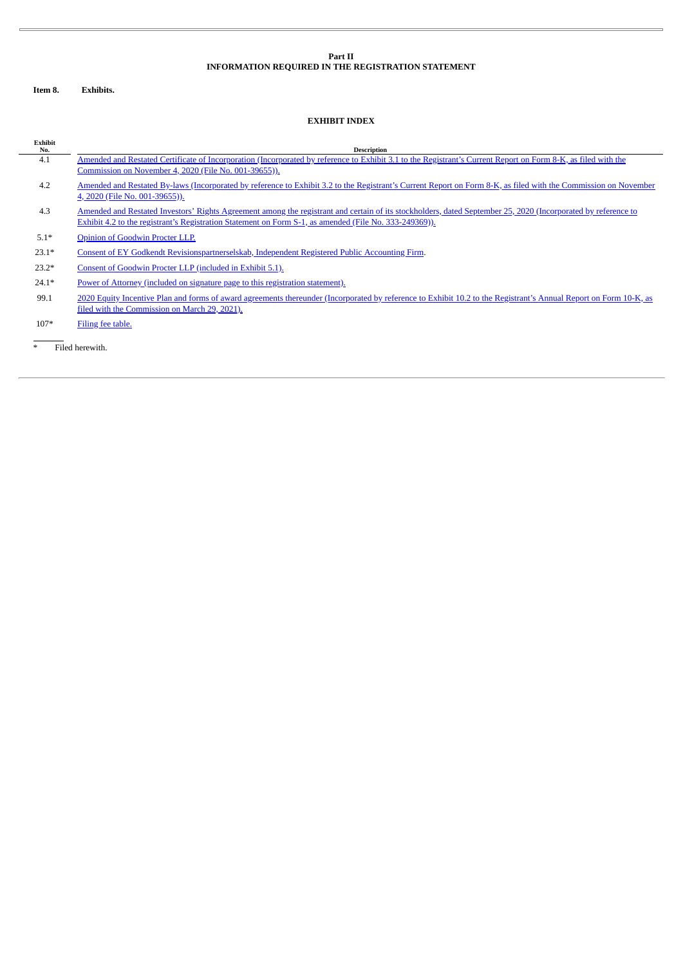#### **Part II INFORMATION REQUIRED IN THE REGISTRATION STATEMENT**

**Item 8. Exhibits.**

### **EXHIBIT INDEX**

| Exhibit<br>No. | <b>Description</b>                                                                                                                                                                                                                                                      |
|----------------|-------------------------------------------------------------------------------------------------------------------------------------------------------------------------------------------------------------------------------------------------------------------------|
| 4.1            | Amended and Restated Certificate of Incorporation (Incorporated by reference to Exhibit 3.1 to the Registrant's Current Report on Form 8-K, as filed with the                                                                                                           |
|                | Commission on November 4, 2020 (File No. 001-39655)).                                                                                                                                                                                                                   |
| 4.2            | Amended and Restated By-laws (Incorporated by reference to Exhibit 3.2 to the Registrant's Current Report on Form 8-K, as filed with the Commission on November<br>4, 2020 (File No. 001-39655)).                                                                       |
| 4.3            | Amended and Restated Investors' Rights Agreement among the registrant and certain of its stockholders, dated September 25, 2020 (Incorporated by reference to<br>Exhibit 4.2 to the registrant's Registration Statement on Form S-1, as amended (File No. 333-249369)). |
| $5.1*$         | Opinion of Goodwin Procter LLP.                                                                                                                                                                                                                                         |
| $23.1*$        | Consent of EY Godkendt Revisionspartnerselskab, Independent Registered Public Accounting Firm.                                                                                                                                                                          |
| $23.2*$        | Consent of Goodwin Procter LLP (included in Exhibit 5.1).                                                                                                                                                                                                               |
| $24.1*$        | Power of Attorney (included on signature page to this registration statement).                                                                                                                                                                                          |
| 99.1           | 2020 Equity Incentive Plan and forms of award agreements thereunder (Incorporated by reference to Exhibit 10.2 to the Registrant's Annual Report on Form 10-K, as<br>filed with the Commission on March 29, 2021).                                                      |
| $107*$         | Filing fee table.                                                                                                                                                                                                                                                       |

\* Filed herewith.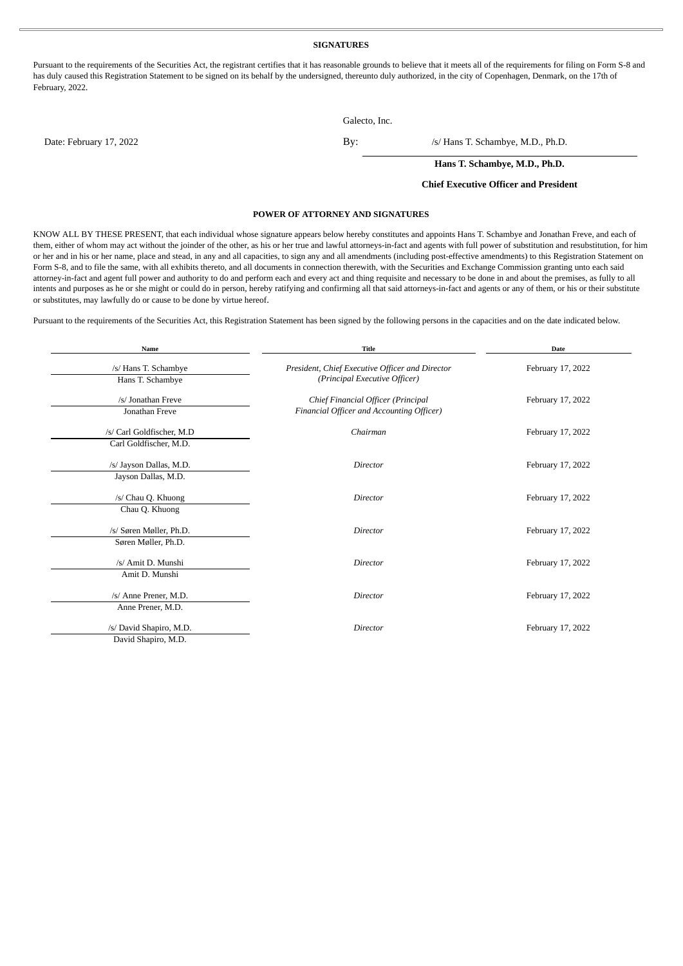#### **SIGNATURES**

Pursuant to the requirements of the Securities Act, the registrant certifies that it has reasonable grounds to believe that it meets all of the requirements for filing on Form S-8 and has duly caused this Registration Statement to be signed on its behalf by the undersigned, thereunto duly authorized, in the city of Copenhagen, Denmark, on the 17th of February, 2022.

Galecto, Inc.

|  | Jaiecto, IIIc. |  |
|--|----------------|--|
|  |                |  |

Date: February 17, 2022 By: /s/ Hans T. Schambye, M.D., Ph.D.

**Hans T. Schambye, M.D., Ph.D.**

#### **Chief Executive Officer and President**

#### **POWER OF ATTORNEY AND SIGNATURES**

<span id="page-2-0"></span>KNOW ALL BY THESE PRESENT, that each individual whose signature appears below hereby constitutes and appoints Hans T. Schambye and Jonathan Freve, and each of them, either of whom may act without the joinder of the other, as his or her true and lawful attorneys-in-fact and agents with full power of substitution and resubstitution, for him or her and in his or her name, place and stead, in any and all capacities, to sign any and all amendments (including post-effective amendments) to this Registration Statement on Form S-8, and to file the same, with all exhibits thereto, and all documents in connection therewith, with the Securities and Exchange Commission granting unto each said attorney-in-fact and agent full power and authority to do and perform each and every act and thing requisite and necessary to be done in and about the premises, as fully to all intents and purposes as he or she might or could do in person, hereby ratifying and confirming all that said attorneys-in-fact and agents or any of them, or his or their substitute or substitutes, may lawfully do or cause to be done by virtue hereof.

Pursuant to the requirements of the Securities Act, this Registration Statement has been signed by the following persons in the capacities and on the date indicated below.

| Name                      | <b>Title</b>                                    | <b>Date</b>       |  |
|---------------------------|-------------------------------------------------|-------------------|--|
| /s/ Hans T. Schambye      | President, Chief Executive Officer and Director | February 17, 2022 |  |
| Hans T. Schambye          | (Principal Executive Officer)                   |                   |  |
| /s/ Jonathan Freve        | Chief Financial Officer (Principal              | February 17, 2022 |  |
| Jonathan Freve            | Financial Officer and Accounting Officer)       |                   |  |
| /s/ Carl Goldfischer, M.D | Chairman                                        | February 17, 2022 |  |
| Carl Goldfischer, M.D.    |                                                 |                   |  |
| /s/ Jayson Dallas, M.D.   | Director                                        | February 17, 2022 |  |
| Jayson Dallas, M.D.       |                                                 |                   |  |
| /s/ Chau Q. Khuong        | Director                                        | February 17, 2022 |  |
| Chau Q. Khuong            |                                                 |                   |  |
|                           |                                                 |                   |  |
| /s/ Søren Møller, Ph.D.   | Director                                        | February 17, 2022 |  |
| Søren Møller, Ph.D.       |                                                 |                   |  |
| /s/ Amit D. Munshi        | Director                                        | February 17, 2022 |  |
| Amit D. Munshi            |                                                 |                   |  |
|                           |                                                 |                   |  |
| /s/ Anne Prener, M.D.     | Director                                        | February 17, 2022 |  |
| Anne Prener, M.D.         |                                                 |                   |  |
|                           |                                                 |                   |  |
| /s/ David Shapiro, M.D.   | Director                                        | February 17, 2022 |  |
| David Shapiro, M.D.       |                                                 |                   |  |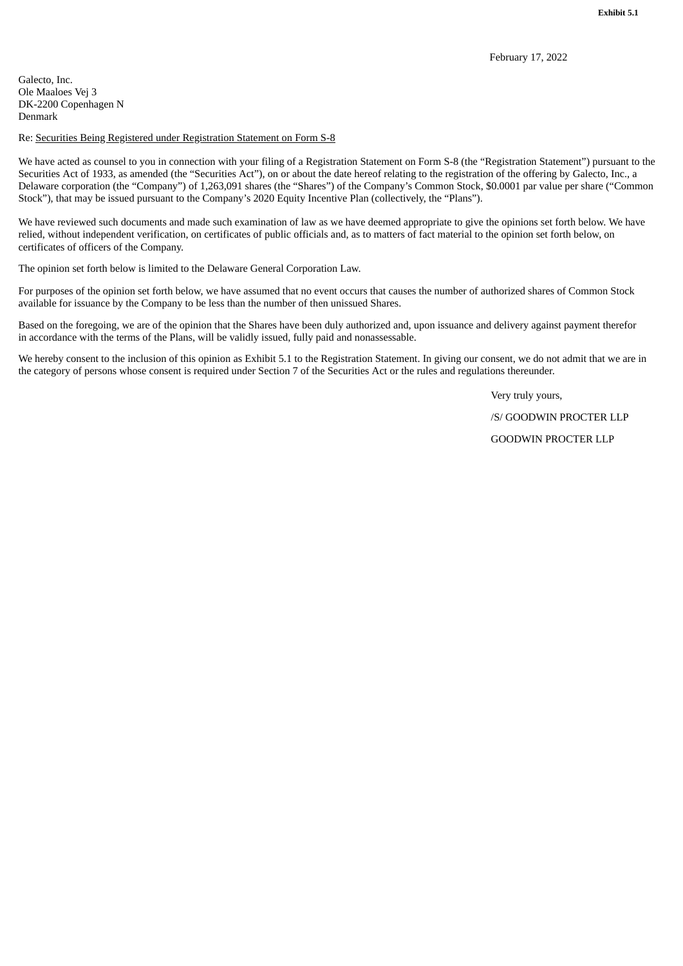<span id="page-3-0"></span>Galecto, Inc. Ole Maaloes Vej 3 DK-2200 Copenhagen N Denmark

#### Re: Securities Being Registered under Registration Statement on Form S-8

We have acted as counsel to you in connection with your filing of a Registration Statement on Form S-8 (the "Registration Statement") pursuant to the Securities Act of 1933, as amended (the "Securities Act"), on or about the date hereof relating to the registration of the offering by Galecto, Inc., a Delaware corporation (the "Company") of 1,263,091 shares (the "Shares") of the Company's Common Stock, \$0.0001 par value per share ("Common Stock"), that may be issued pursuant to the Company's 2020 Equity Incentive Plan (collectively, the "Plans").

We have reviewed such documents and made such examination of law as we have deemed appropriate to give the opinions set forth below. We have relied, without independent verification, on certificates of public officials and, as to matters of fact material to the opinion set forth below, on certificates of officers of the Company.

The opinion set forth below is limited to the Delaware General Corporation Law.

For purposes of the opinion set forth below, we have assumed that no event occurs that causes the number of authorized shares of Common Stock available for issuance by the Company to be less than the number of then unissued Shares.

Based on the foregoing, we are of the opinion that the Shares have been duly authorized and, upon issuance and delivery against payment therefor in accordance with the terms of the Plans, will be validly issued, fully paid and nonassessable.

We hereby consent to the inclusion of this opinion as Exhibit 5.1 to the Registration Statement. In giving our consent, we do not admit that we are in the category of persons whose consent is required under Section 7 of the Securities Act or the rules and regulations thereunder.

Very truly yours,

/S/ GOODWIN PROCTER LLP

GOODWIN PROCTER LLP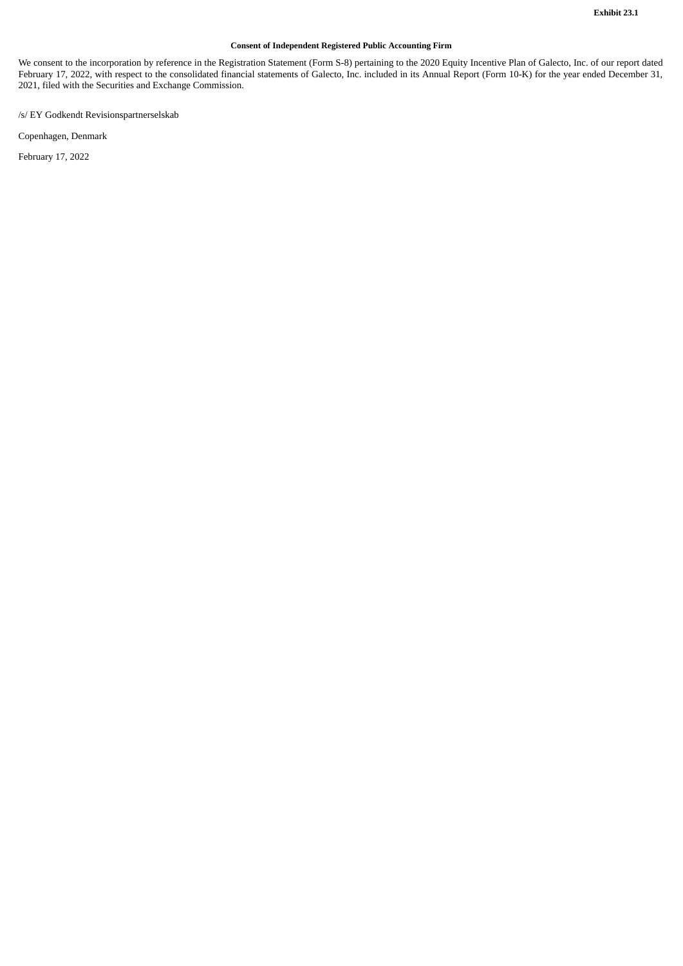#### **Consent of Independent Registered Public Accounting Firm**

<span id="page-4-0"></span>We consent to the incorporation by reference in the Registration Statement (Form S-8) pertaining to the 2020 Equity Incentive Plan of Galecto, Inc. of our report dated February 17, 2022, with respect to the consolidated financial statements of Galecto, Inc. included in its Annual Report (Form 10-K) for the year ended December 31, 2021, filed with the Securities and Exchange Commission.

/s/ EY Godkendt Revisionspartnerselskab

Copenhagen, Denmark

February 17, 2022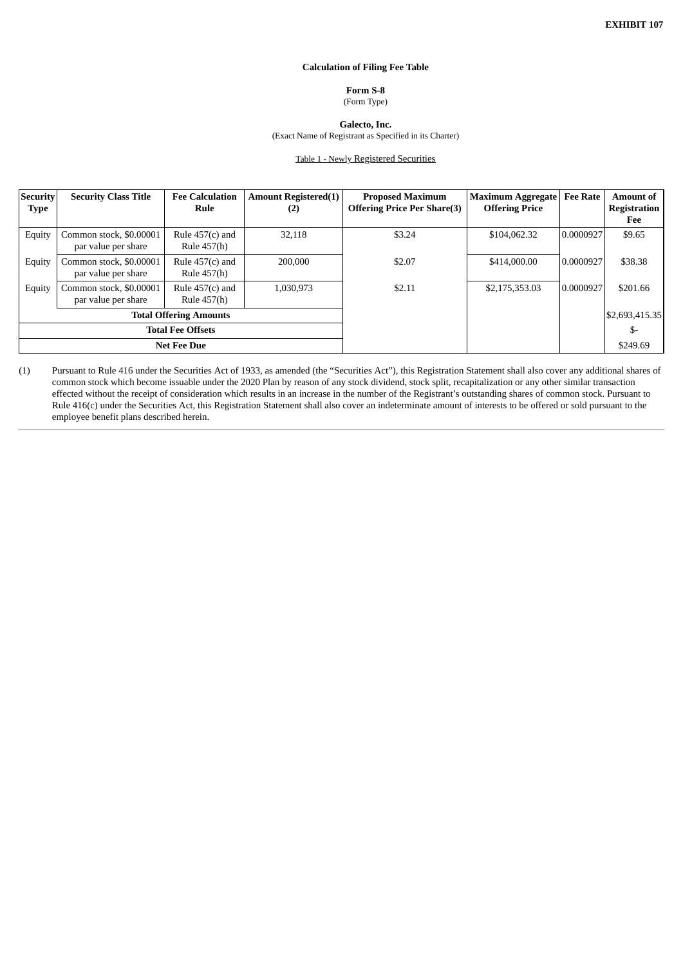#### **Calculation of Filing Fee Table**

## **Form S-8**

(Form Type)

**Galecto, Inc.**

(Exact Name of Registrant as Specified in its Charter)

Table 1 - Newly Registered Securities

<span id="page-5-0"></span>

| Security<br>Type              | <b>Security Class Title</b>                    | <b>Fee Calculation</b><br>Rule   | <b>Amount Registered(1)</b><br>(2) | <b>Proposed Maximum</b><br><b>Offering Price Per Share(3)</b> | <b>Maximum Aggregate</b><br><b>Offering Price</b> | <b>Fee Rate</b> | <b>Amount of</b><br><b>Registration</b><br>Fee |
|-------------------------------|------------------------------------------------|----------------------------------|------------------------------------|---------------------------------------------------------------|---------------------------------------------------|-----------------|------------------------------------------------|
| Equity                        | Common stock, \$0.00001<br>par value per share | Rule $457(c)$ and<br>Rule 457(h) | 32,118                             | \$3.24                                                        | \$104,062.32                                      | 0.0000927       | \$9.65                                         |
| Equity                        | Common stock, \$0,00001<br>par value per share | Rule $457(c)$ and<br>Rule 457(h) | 200,000                            | \$2.07                                                        | \$414,000.00                                      | 0.0000927       | \$38.38                                        |
| Equity                        | Common stock, \$0.00001<br>par value per share | Rule $457(c)$ and<br>Rule 457(h) | 1,030,973                          | \$2.11                                                        | \$2,175,353.03                                    | 0.0000927       | \$201.66                                       |
| <b>Total Offering Amounts</b> |                                                |                                  |                                    |                                                               |                                                   |                 | \$2,693,415.35                                 |
| <b>Total Fee Offsets</b>      |                                                |                                  |                                    |                                                               |                                                   | \$-             |                                                |
| <b>Net Fee Due</b>            |                                                |                                  |                                    |                                                               |                                                   |                 | \$249.69                                       |

(1) Pursuant to Rule 416 under the Securities Act of 1933, as amended (the "Securities Act"), this Registration Statement shall also cover any additional shares of common stock which become issuable under the 2020 Plan by reason of any stock dividend, stock split, recapitalization or any other similar transaction effected without the receipt of consideration which results in an increase in the number of the Registrant's outstanding shares of common stock. Pursuant to Rule 416(c) under the Securities Act, this Registration Statement shall also cover an indeterminate amount of interests to be offered or sold pursuant to the employee benefit plans described herein.